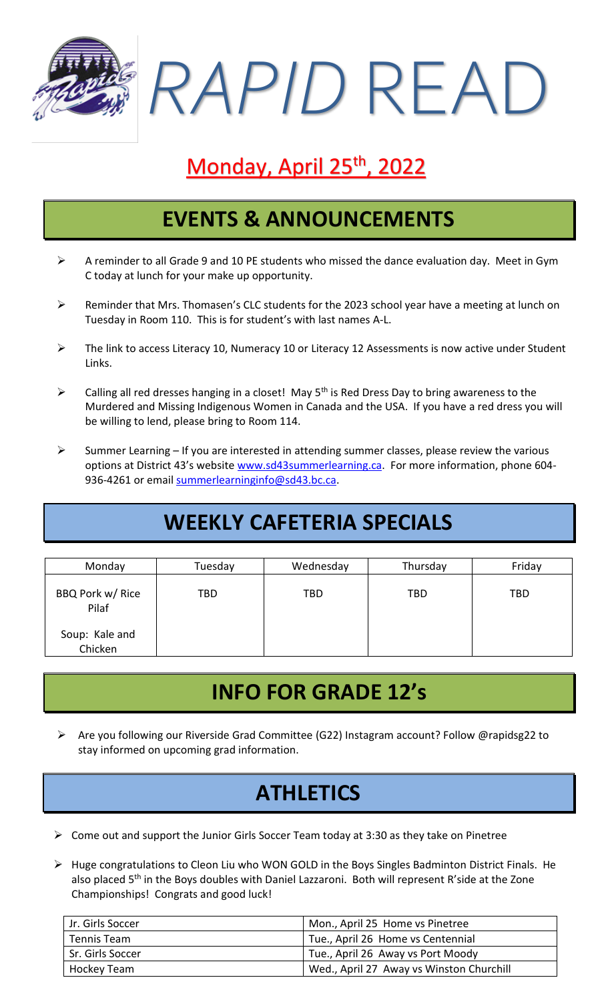*RAPID* READ

# Monday, April 25<sup>th</sup>, 2022

#### **EVENTS & ANNOUNCEMENTS**

- ➢ A reminder to all Grade 9 and 10 PE students who missed the dance evaluation day. Meet in Gym C today at lunch for your make up opportunity.
- ➢ Reminder that Mrs. Thomasen's CLC students for the 2023 school year have a meeting at lunch on Tuesday in Room 110. This is for student's with last names A-L.
- ➢ The link to access Literacy 10, Numeracy 10 or Literacy 12 Assessments is now active under Student Links.
- $\triangleright$  Calling all red dresses hanging in a closet! May 5<sup>th</sup> is Red Dress Day to bring awareness to the Murdered and Missing Indigenous Women in Canada and the USA. If you have a red dress you will be willing to lend, please bring to Room 114.
- $\triangleright$  Summer Learning If you are interested in attending summer classes, please review the various options at District 43's website [www.sd43summerlearning.ca.](http://www.sd43summerlearning.ca/) For more information, phone 604 936-4261 or email [summerlearninginfo@sd43.bc.ca.](mailto:summerlearninginfo@sd43.bc.ca)

# **WEEKLY CAFETERIA SPECIALS**

| Monday                    | Tuesday | Wednesday  | Thursday   | Friday     |
|---------------------------|---------|------------|------------|------------|
| BBQ Pork w/ Rice<br>Pilaf | TBD     | <b>TBD</b> | <b>TBD</b> | <b>TBD</b> |
| Soup: Kale and<br>Chicken |         |            |            |            |

## **INFO FOR GRADE 12's**

➢ Are you following our Riverside Grad Committee (G22) Instagram account? Follow @rapidsg22 to stay informed on upcoming grad information.

## **ATHLETICS**

- $\triangleright$  Come out and support the Junior Girls Soccer Team today at 3:30 as they take on Pinetree
- ➢ Huge congratulations to Cleon Liu who WON GOLD in the Boys Singles Badminton District Finals. He also placed 5<sup>th</sup> in the Boys doubles with Daniel Lazzaroni. Both will represent R'side at the Zone Championships! Congrats and good luck!

| Jr. Girls Soccer | Mon., April 25 Home vs Pinetree          |
|------------------|------------------------------------------|
| Tennis Team      | Tue., April 26 Home vs Centennial        |
| Sr. Girls Soccer | Tue., April 26 Away vs Port Moody        |
| Hockey Team      | Wed., April 27 Away vs Winston Churchill |